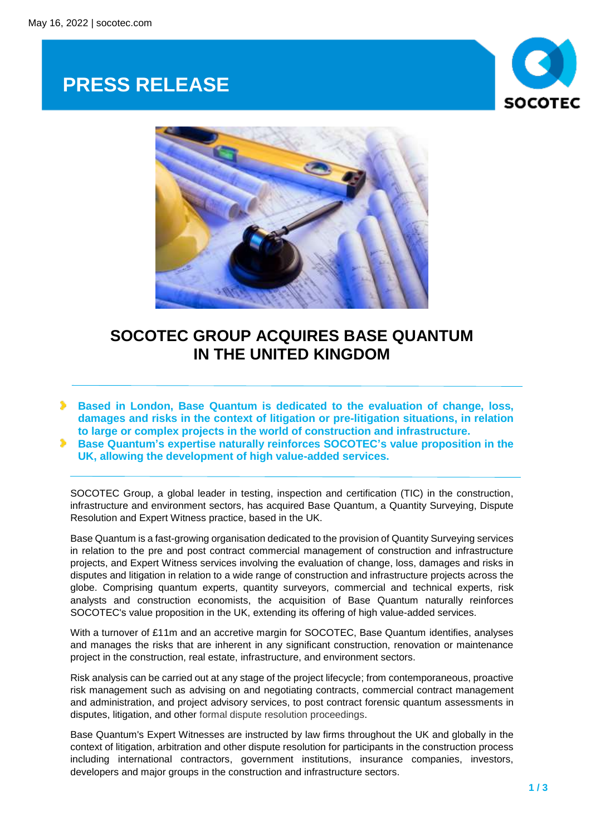## **PRESS RELEASE**





## **SOCOTEC GROUP ACQUIRES BASE QUANTUM IN THE UNITED KINGDOM**

**Based in London, Base Quantum is dedicated to the evaluation of change, loss, damages and risks in the context of litigation or pre-litigation situations, in relation to large or complex projects in the world of construction and infrastructure.**

**Base Quantum's expertise naturally reinforces SOCOTEC's value proposition in the UK, allowing the development of high value-added services.**

SOCOTEC Group, a global leader in testing, inspection and certification (TIC) in the construction, infrastructure and environment sectors, has acquired Base Quantum, a Quantity Surveying, Dispute Resolution and Expert Witness practice, based in the UK.

Base Quantum is a fast-growing organisation dedicated to the provision of Quantity Surveying services in relation to the pre and post contract commercial management of construction and infrastructure projects, and Expert Witness services involving the evaluation of change, loss, damages and risks in disputes and litigation in relation to a wide range of construction and infrastructure projects across the globe. Comprising quantum experts, quantity surveyors, commercial and technical experts, risk analysts and construction economists, the acquisition of Base Quantum naturally reinforces SOCOTEC's value proposition in the UK, extending its offering of high value-added services.

With a turnover of £11m and an accretive margin for SOCOTEC, Base Quantum identifies, analyses and manages the risks that are inherent in any significant construction, renovation or maintenance project in the construction, real estate, infrastructure, and environment sectors.

Risk analysis can be carried out at any stage of the project lifecycle; from contemporaneous, proactive risk management such as advising on and negotiating contracts, commercial contract management and administration, and project advisory services, to post contract forensic quantum assessments in disputes, litigation, and other formal dispute resolution proceedings.

Base Quantum's Expert Witnesses are instructed by law firms throughout the UK and globally in the context of litigation, arbitration and other dispute resolution for participants in the construction process including international contractors, government institutions, insurance companies, investors, developers and major groups in the construction and infrastructure sectors.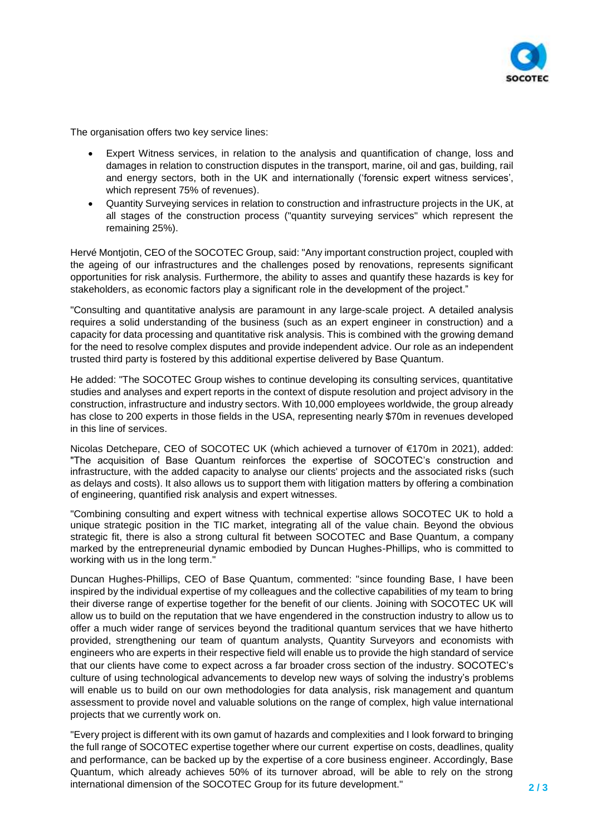

The organisation offers two key service lines:

- Expert Witness services, in relation to the analysis and quantification of change, loss and damages in relation to construction disputes in the transport, marine, oil and gas, building, rail and energy sectors, both in the UK and internationally ('forensic expert witness services', which represent 75% of revenues).
- Quantity Surveying services in relation to construction and infrastructure projects in the UK, at all stages of the construction process ("quantity surveying services" which represent the remaining 25%).

Hervé Montjotin, CEO of the SOCOTEC Group, said: "Any important construction project, coupled with the ageing of our infrastructures and the challenges posed by renovations, represents significant opportunities for risk analysis. Furthermore, the ability to asses and quantify these hazards is key for stakeholders, as economic factors play a significant role in the development of the project."

"Consulting and quantitative analysis are paramount in any large-scale project. A detailed analysis requires a solid understanding of the business (such as an expert engineer in construction) and a capacity for data processing and quantitative risk analysis. This is combined with the growing demand for the need to resolve complex disputes and provide independent advice. Our role as an independent trusted third party is fostered by this additional expertise delivered by Base Quantum.

He added: "The SOCOTEC Group wishes to continue developing its consulting services, quantitative studies and analyses and expert reports in the context of dispute resolution and project advisory in the construction, infrastructure and industry sectors. With 10,000 employees worldwide, the group already has close to 200 experts in those fields in the USA, representing nearly \$70m in revenues developed in this line of services.

Nicolas Detchepare, CEO of SOCOTEC UK (which achieved a turnover of €170m in 2021), added: "The acquisition of Base Quantum reinforces the expertise of SOCOTEC's construction and infrastructure, with the added capacity to analyse our clients' projects and the associated risks (such as delays and costs). It also allows us to support them with litigation matters by offering a combination of engineering, quantified risk analysis and expert witnesses.

"Combining consulting and expert witness with technical expertise allows SOCOTEC UK to hold a unique strategic position in the TIC market, integrating all of the value chain. Beyond the obvious strategic fit, there is also a strong cultural fit between SOCOTEC and Base Quantum, a company marked by the entrepreneurial dynamic embodied by Duncan Hughes-Phillips, who is committed to working with us in the long term."

Duncan Hughes-Phillips, CEO of Base Quantum, commented: "since founding Base, I have been inspired by the individual expertise of my colleagues and the collective capabilities of my team to bring their diverse range of expertise together for the benefit of our clients. Joining with SOCOTEC UK will allow us to build on the reputation that we have engendered in the construction industry to allow us to offer a much wider range of services beyond the traditional quantum services that we have hitherto provided, strengthening our team of quantum analysts, Quantity Surveyors and economists with engineers who are experts in their respective field will enable us to provide the high standard of service that our clients have come to expect across a far broader cross section of the industry. SOCOTEC's culture of using technological advancements to develop new ways of solving the industry's problems will enable us to build on our own methodologies for data analysis, risk management and quantum assessment to provide novel and valuable solutions on the range of complex, high value international projects that we currently work on.

"Every project is different with its own gamut of hazards and complexities and I look forward to bringing the full range of SOCOTEC expertise together where our current expertise on costs, deadlines, quality and performance, can be backed up by the expertise of a core business engineer. Accordingly, Base Quantum, which already achieves 50% of its turnover abroad, will be able to rely on the strong international dimension of the SOCOTEC Group for its future development."